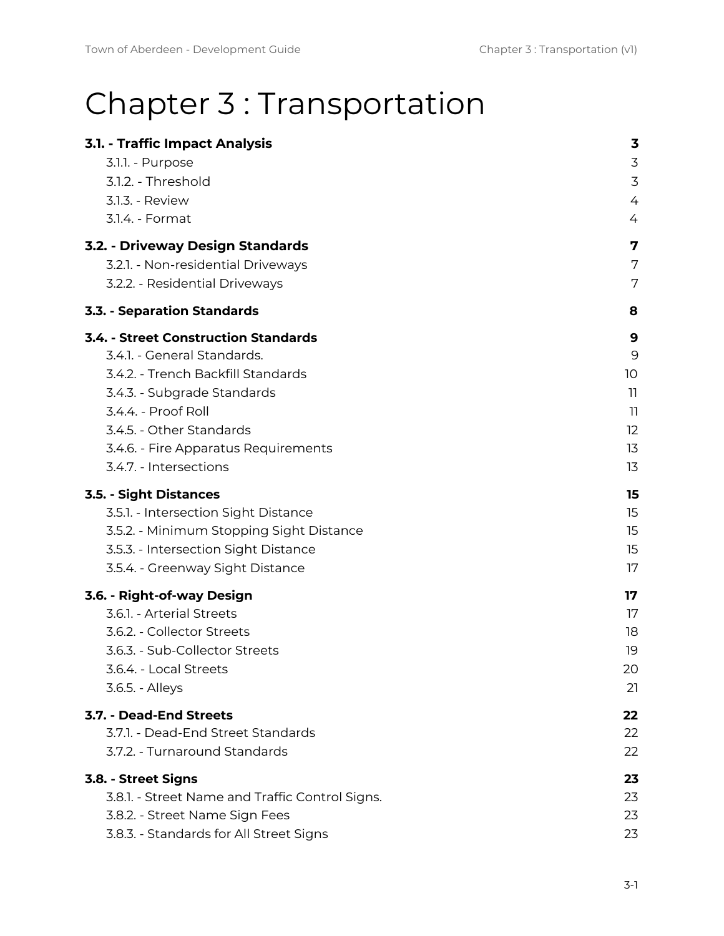# Chapter 3 : Transportation

| 3.1. - Traffic Impact Analysis                  | 3                        |
|-------------------------------------------------|--------------------------|
| 3.1.1. - Purpose                                | 3                        |
| 3.1.2. - Threshold                              | 3                        |
| 3.1.3. - Review                                 | 4                        |
| 3.1.4. - Format                                 | 4                        |
| 3.2. - Driveway Design Standards                | 7                        |
| 3.2.1. - Non-residential Driveways              | 7                        |
| 3.2.2. - Residential Driveways                  | 7                        |
| <b>3.3. - Separation Standards</b>              | 8                        |
| <b>3.4. - Street Construction Standards</b>     | 9                        |
| 3.4.1. - General Standards.                     | 9                        |
| 3.4.2. - Trench Backfill Standards              | 10                       |
| 3.4.3. - Subgrade Standards                     | 11                       |
| 3.4.4. - Proof Roll                             | $\overline{\phantom{a}}$ |
| 3.4.5. - Other Standards                        | 12                       |
| 3.4.6. - Fire Apparatus Requirements            | 13                       |
| 3.4.7. - Intersections                          | 13                       |
| <b>3.5. - Sight Distances</b>                   | 15                       |
| 3.5.1. - Intersection Sight Distance            | 15                       |
| 3.5.2. - Minimum Stopping Sight Distance        | 15                       |
| 3.5.3. - Intersection Sight Distance            | 15                       |
| 3.5.4. - Greenway Sight Distance                | 17                       |
| 3.6. - Right-of-way Design                      | 17                       |
| 3.6.1. - Arterial Streets                       | 17                       |
| 3.6.2. - Collector Streets                      | 18                       |
| 3.6.3. - Sub-Collector Streets                  | 19                       |
| 3.6.4. - Local Streets                          | 20                       |
| 3.6.5. - Alleys                                 | 21                       |
| 3.7. - Dead-End Streets                         | 22                       |
| 3.7.1. - Dead-End Street Standards              | 22                       |
| 3.7.2. - Turnaround Standards                   | 22                       |
| 3.8. - Street Signs                             | 23                       |
| 3.8.1. - Street Name and Traffic Control Signs. | 23                       |
| 3.8.2. - Street Name Sign Fees                  | 23                       |
| 3.8.3. - Standards for All Street Signs         | 23                       |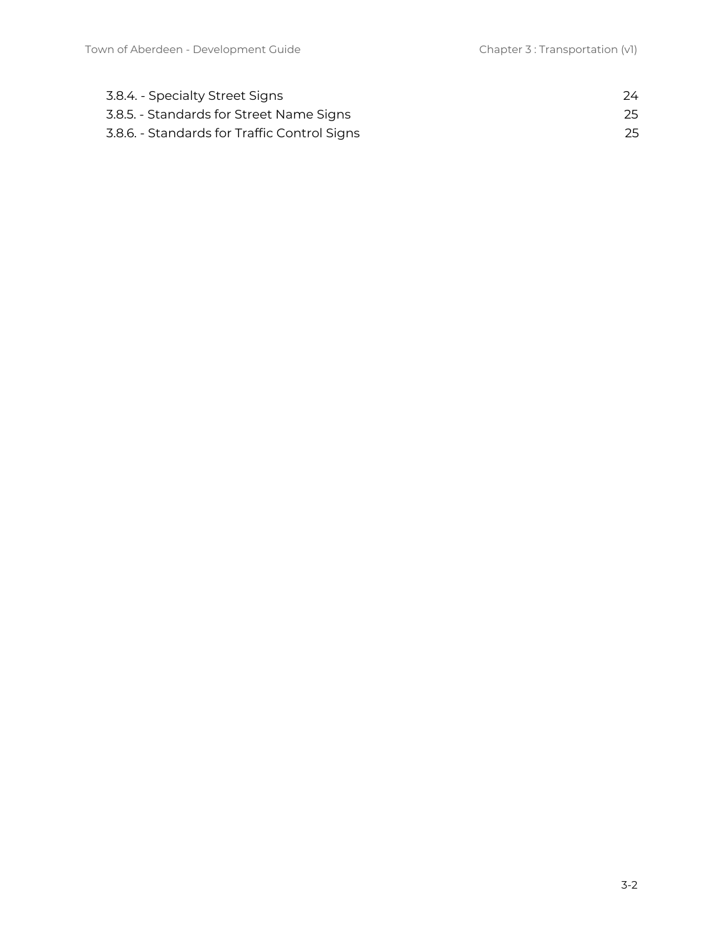| 3.8.4. - Specialty Street Signs              | 24. |
|----------------------------------------------|-----|
| 3.8.5. - Standards for Street Name Signs     | 25  |
| 3.8.6. - Standards for Traffic Control Signs | 25  |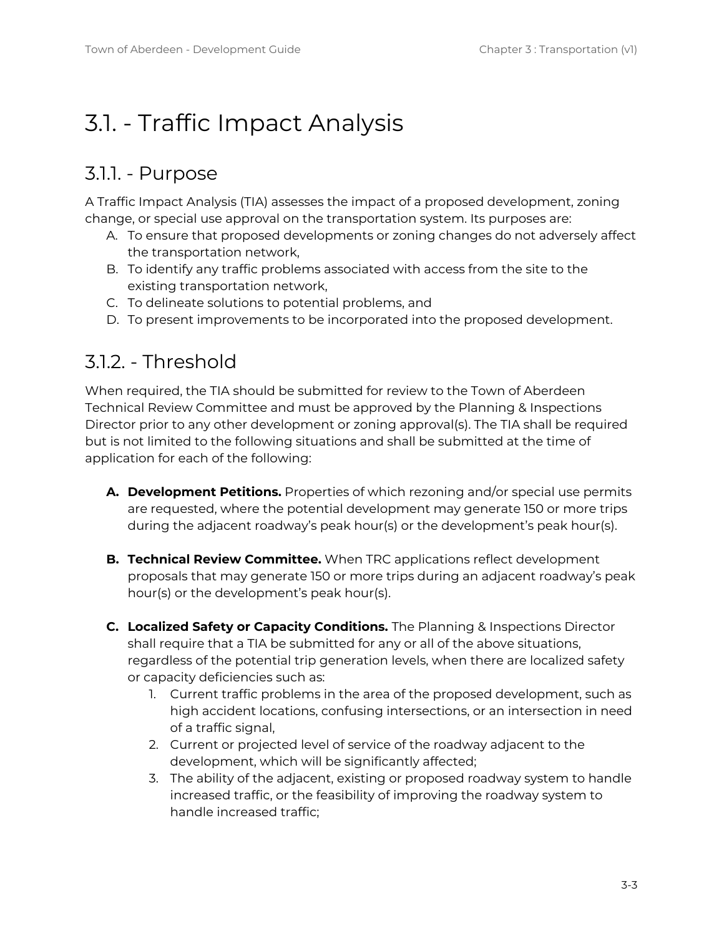# <span id="page-2-0"></span>3.1. - Traffic Impact Analysis

#### <span id="page-2-1"></span>3.1.1. - Purpose

A Traffic Impact Analysis (TIA) assesses the impact of a proposed development, zoning change, or special use approval on the transportation system. Its purposes are:

- A. To ensure that proposed developments or zoning changes do not adversely affect the transportation network,
- B. To identify any traffic problems associated with access from the site to the existing transportation network,
- C. To delineate solutions to potential problems, and
- D. To present improvements to be incorporated into the proposed development.

#### <span id="page-2-2"></span>3.1.2. - Threshold

When required, the TIA should be submitted for review to the Town of Aberdeen Technical Review Committee and must be approved by the Planning & Inspections Director prior to any other development or zoning approval(s). The TIA shall be required but is not limited to the following situations and shall be submitted at the time of application for each of the following:

- **A. Development Petitions.** Properties of which rezoning and/or special use permits are requested, where the potential development may generate 150 or more trips during the adjacent roadway's peak hour(s) or the development's peak hour(s).
- **B. Technical Review Committee.** When TRC applications reflect development proposals that may generate 150 or more trips during an adjacent roadway's peak hour(s) or the development's peak hour(s).
- **C. Localized Safety or Capacity Conditions.** The Planning & Inspections Director shall require that a TIA be submitted for any or all of the above situations, regardless of the potential trip generation levels, when there are localized safety or capacity deficiencies such as:
	- 1. Current traffic problems in the area of the proposed development, such as high accident locations, confusing intersections, or an intersection in need of a traffic signal,
	- 2. Current or projected level of service of the roadway adjacent to the development, which will be significantly affected;
	- 3. The ability of the adjacent, existing or proposed roadway system to handle increased traffic, or the feasibility of improving the roadway system to handle increased traffic;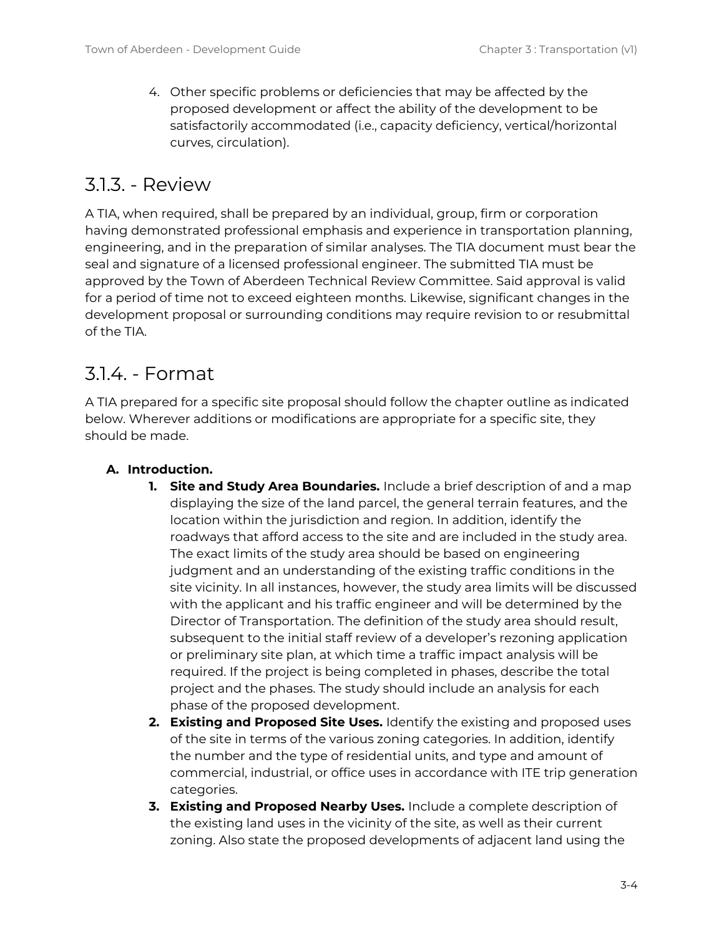4. Other specific problems or deficiencies that may be affected by the proposed development or affect the ability of the development to be satisfactorily accommodated (i.e., capacity deficiency, vertical/horizontal curves, circulation).

### <span id="page-3-0"></span>3.1.3. - Review

A TIA, when required, shall be prepared by an individual, group, firm or corporation having demonstrated professional emphasis and experience in transportation planning, engineering, and in the preparation of similar analyses. The TIA document must bear the seal and signature of a licensed professional engineer. The submitted TIA must be approved by the Town of Aberdeen Technical Review Committee. Said approval is valid for a period of time not to exceed eighteen months. Likewise, significant changes in the development proposal or surrounding conditions may require revision to or resubmittal of the TIA.

### <span id="page-3-1"></span>3.1.4. - Format

A TIA prepared for a specific site proposal should follow the chapter outline as indicated below. Wherever additions or modifications are appropriate for a specific site, they should be made.

#### **A. Introduction.**

- **1. Site and Study Area Boundaries.** Include a brief description of and a map displaying the size of the land parcel, the general terrain features, and the location within the jurisdiction and region. In addition, identify the roadways that afford access to the site and are included in the study area. The exact limits of the study area should be based on engineering judgment and an understanding of the existing traffic conditions in the site vicinity. In all instances, however, the study area limits will be discussed with the applicant and his traffic engineer and will be determined by the Director of Transportation. The definition of the study area should result, subsequent to the initial staff review of a developer's rezoning application or preliminary site plan, at which time a traffic impact analysis will be required. If the project is being completed in phases, describe the total project and the phases. The study should include an analysis for each phase of the proposed development.
- **2. Existing and Proposed Site Uses.** Identify the existing and proposed uses of the site in terms of the various zoning categories. In addition, identify the number and the type of residential units, and type and amount of commercial, industrial, or office uses in accordance with ITE trip generation categories.
- **3. Existing and Proposed Nearby Uses.** Include a complete description of the existing land uses in the vicinity of the site, as well as their current zoning. Also state the proposed developments of adjacent land using the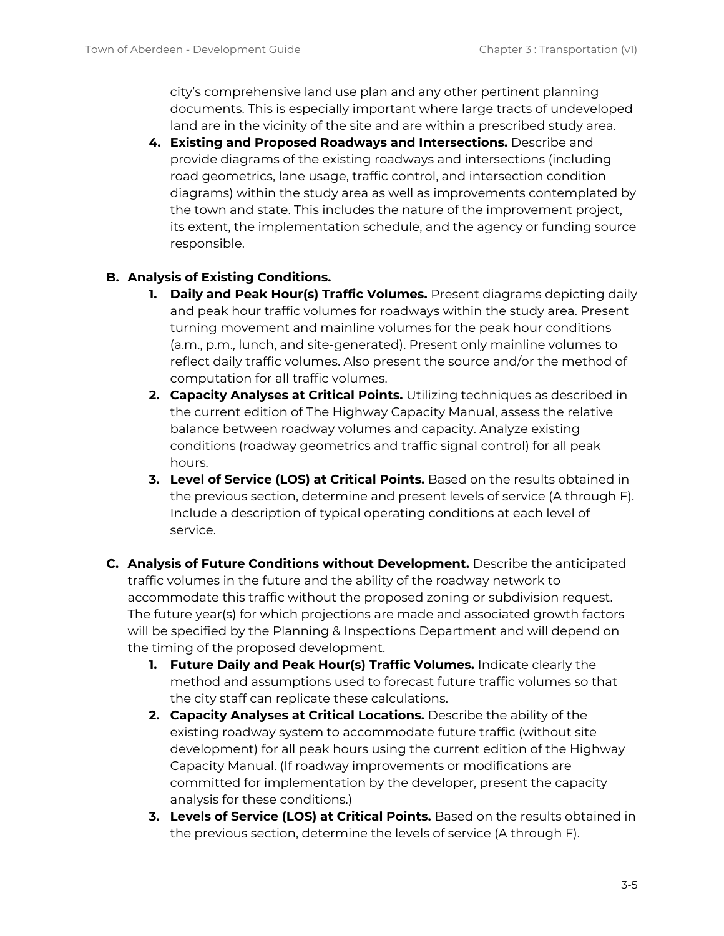city's comprehensive land use plan and any other pertinent planning documents. This is especially important where large tracts of undeveloped land are in the vicinity of the site and are within a prescribed study area.

**4. Existing and Proposed Roadways and Intersections.** Describe and provide diagrams of the existing roadways and intersections (including road geometrics, lane usage, traffic control, and intersection condition diagrams) within the study area as well as improvements contemplated by the town and state. This includes the nature of the improvement project, its extent, the implementation schedule, and the agency or funding source responsible.

#### **B. Analysis of Existing Conditions.**

- **1. Daily and Peak Hour(s) Traffic Volumes.** Present diagrams depicting daily and peak hour traffic volumes for roadways within the study area. Present turning movement and mainline volumes for the peak hour conditions (a.m., p.m., lunch, and site-generated). Present only mainline volumes to reflect daily traffic volumes. Also present the source and/or the method of computation for all traffic volumes.
- **2. Capacity Analyses at Critical Points.** Utilizing techniques as described in the current edition of The Highway Capacity Manual, assess the relative balance between roadway volumes and capacity. Analyze existing conditions (roadway geometrics and traffic signal control) for all peak hours.
- **3. Level of Service (LOS) at Critical Points.** Based on the results obtained in the previous section, determine and present levels of service (A through F). Include a description of typical operating conditions at each level of service.
- **C. Analysis of Future Conditions without Development.** Describe the anticipated traffic volumes in the future and the ability of the roadway network to accommodate this traffic without the proposed zoning or subdivision request. The future year(s) for which projections are made and associated growth factors will be specified by the Planning & Inspections Department and will depend on the timing of the proposed development.
	- **1. Future Daily and Peak Hour(s) Traffic Volumes.** Indicate clearly the method and assumptions used to forecast future traffic volumes so that the city staff can replicate these calculations.
	- **2. Capacity Analyses at Critical Locations.** Describe the ability of the existing roadway system to accommodate future traffic (without site development) for all peak hours using the current edition of the Highway Capacity Manual. (If roadway improvements or modifications are committed for implementation by the developer, present the capacity analysis for these conditions.)
	- **3. Levels of Service (LOS) at Critical Points.** Based on the results obtained in the previous section, determine the levels of service (A through F).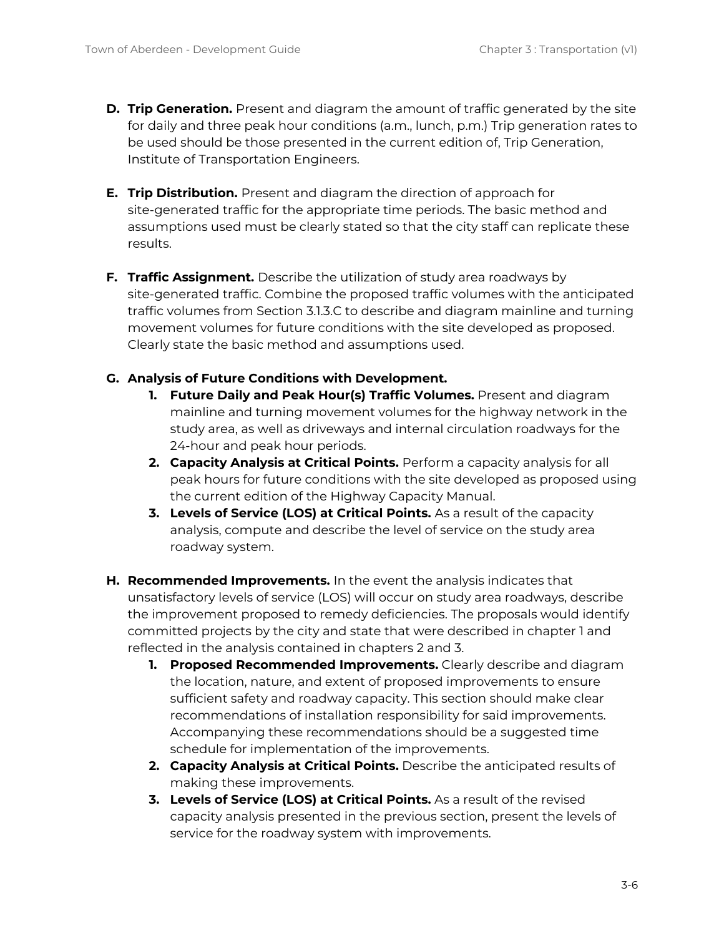- **D. Trip Generation.** Present and diagram the amount of traffic generated by the site for daily and three peak hour conditions (a.m., lunch, p.m.) Trip generation rates to be used should be those presented in the current edition of, Trip Generation, Institute of Transportation Engineers.
- **E. Trip Distribution.** Present and diagram the direction of approach for site-generated traffic for the appropriate time periods. The basic method and assumptions used must be clearly stated so that the city staff can replicate these results.
- **F. Traffic Assignment.** Describe the utilization of study area roadways by site-generated traffic. Combine the proposed traffic volumes with the anticipated traffic volumes from Section 3.1.3.C to describe and diagram mainline and turning movement volumes for future conditions with the site developed as proposed. Clearly state the basic method and assumptions used.

#### **G. Analysis of Future Conditions with Development.**

- **1. Future Daily and Peak Hour(s) Traffic Volumes.** Present and diagram mainline and turning movement volumes for the highway network in the study area, as well as driveways and internal circulation roadways for the 24-hour and peak hour periods.
- **2. Capacity Analysis at Critical Points.** Perform a capacity analysis for all peak hours for future conditions with the site developed as proposed using the current edition of the Highway Capacity Manual.
- **3. Levels of Service (LOS) at Critical Points.** As a result of the capacity analysis, compute and describe the level of service on the study area roadway system.
- **H. Recommended Improvements.** In the event the analysis indicates that unsatisfactory levels of service (LOS) will occur on study area roadways, describe the improvement proposed to remedy deficiencies. The proposals would identify committed projects by the city and state that were described in chapter 1 and reflected in the analysis contained in chapters 2 and 3.
	- **1. Proposed Recommended Improvements.** Clearly describe and diagram the location, nature, and extent of proposed improvements to ensure sufficient safety and roadway capacity. This section should make clear recommendations of installation responsibility for said improvements. Accompanying these recommendations should be a suggested time schedule for implementation of the improvements.
	- **2. Capacity Analysis at Critical Points.** Describe the anticipated results of making these improvements.
	- **3. Levels of Service (LOS) at Critical Points.** As a result of the revised capacity analysis presented in the previous section, present the levels of service for the roadway system with improvements.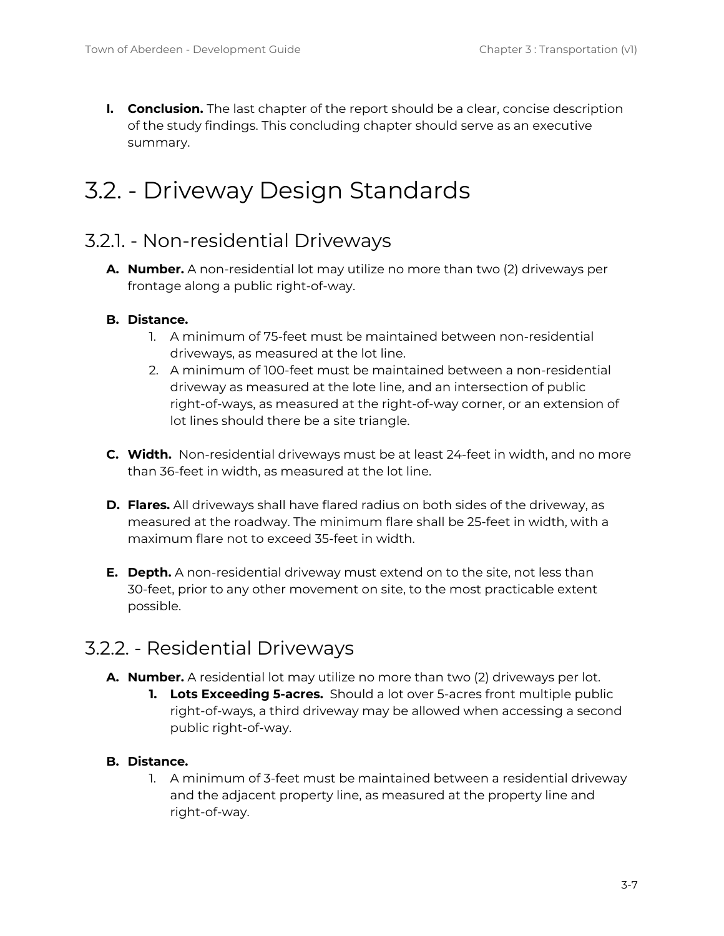**I. Conclusion.** The last chapter of the report should be a clear, concise description of the study findings. This concluding chapter should serve as an executive summary.

# <span id="page-6-0"></span>3.2. - Driveway Design Standards

### <span id="page-6-1"></span>3.2.1. - Non-residential Driveways

**A. Number.** A non-residential lot may utilize no more than two (2) driveways per frontage along a public right-of-way.

#### **B. Distance.**

- 1. A minimum of 75-feet must be maintained between non-residential driveways, as measured at the lot line.
- 2. A minimum of 100-feet must be maintained between a non-residential driveway as measured at the lote line, and an intersection of public right-of-ways, as measured at the right-of-way corner, or an extension of lot lines should there be a site triangle.
- **C. Width.** Non-residential driveways must be at least 24-feet in width, and no more than 36-feet in width, as measured at the lot line.
- **D. Flares.** All driveways shall have flared radius on both sides of the driveway, as measured at the roadway. The minimum flare shall be 25-feet in width, with a maximum flare not to exceed 35-feet in width.
- **E. Depth.** A non-residential driveway must extend on to the site, not less than 30-feet, prior to any other movement on site, to the most practicable extent possible.

### <span id="page-6-2"></span>3.2.2. - Residential Driveways

- **A. Number.** A residential lot may utilize no more than two (2) driveways per lot.
	- **1. Lots Exceeding 5-acres.** Should a lot over 5-acres front multiple public right-of-ways, a third driveway may be allowed when accessing a second public right-of-way.

#### **B. Distance.**

1. A minimum of 3-feet must be maintained between a residential driveway and the adjacent property line, as measured at the property line and right-of-way.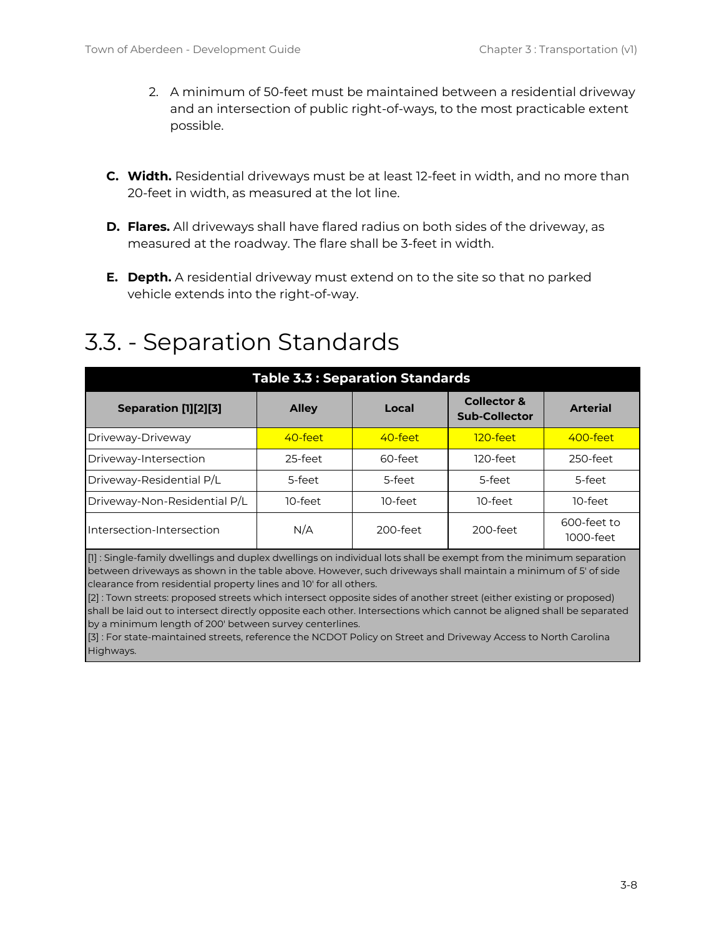- 2. A minimum of 50-feet must be maintained between a residential driveway and an intersection of public right-of-ways, to the most practicable extent possible.
- **C. Width.** Residential driveways must be at least 12-feet in width, and no more than 20-feet in width, as measured at the lot line.
- **D. Flares.** All driveways shall have flared radius on both sides of the driveway, as measured at the roadway. The flare shall be 3-feet in width.
- **E. Depth.** A residential driveway must extend on to the site so that no parked vehicle extends into the right-of-way.

# <span id="page-7-0"></span>3.3. - Separation Standards

| <b>Table 3.3: Separation Standards</b>                                                                            |              |          |                                                |                          |  |  |  |  |  |
|-------------------------------------------------------------------------------------------------------------------|--------------|----------|------------------------------------------------|--------------------------|--|--|--|--|--|
| Separation [1][2][3]                                                                                              | <b>Alley</b> | Local    | <b>Collector &amp;</b><br><b>Sub-Collector</b> | <b>Arterial</b>          |  |  |  |  |  |
| Driveway-Driveway                                                                                                 | 40-feet      | 40-feet  | $120$ -feet                                    | 400-feet                 |  |  |  |  |  |
| Driveway-Intersection                                                                                             | 25-feet      | 60-feet  | 120-feet                                       | 250-feet                 |  |  |  |  |  |
| Driveway-Residential P/L                                                                                          | 5-feet       | 5-feet   | 5-feet                                         | 5-feet                   |  |  |  |  |  |
| Driveway-Non-Residential P/L                                                                                      | 10-feet      | 10-feet  | 10-feet                                        | $10$ -feet               |  |  |  |  |  |
| Intersection-Intersection                                                                                         | N/A          | 200-feet | 200-feet                                       | 600-feet to<br>1000-feet |  |  |  |  |  |
| $\ln$ Single family dwellings and dupley dwellings on individual lots shall be exempt from the minimum separation |              |          |                                                |                          |  |  |  |  |  |

[1] : Single-family dwellings and duplex dwellings on individual lots shall be exempt from the minimum separation between driveways as shown in the table above. However, such driveways shall maintain a minimum of 5' of side clearance from residential property lines and 10' for all others.

[2] : Town streets: proposed streets which intersect opposite sides of another street (either existing or proposed) shall be laid out to intersect directly opposite each other. Intersections which cannot be aligned shall be separated by a minimum length of 200' between survey centerlines.

[3] : For state-maintained streets, reference the NCDOT Policy on Street and Driveway Access to North Carolina Highways.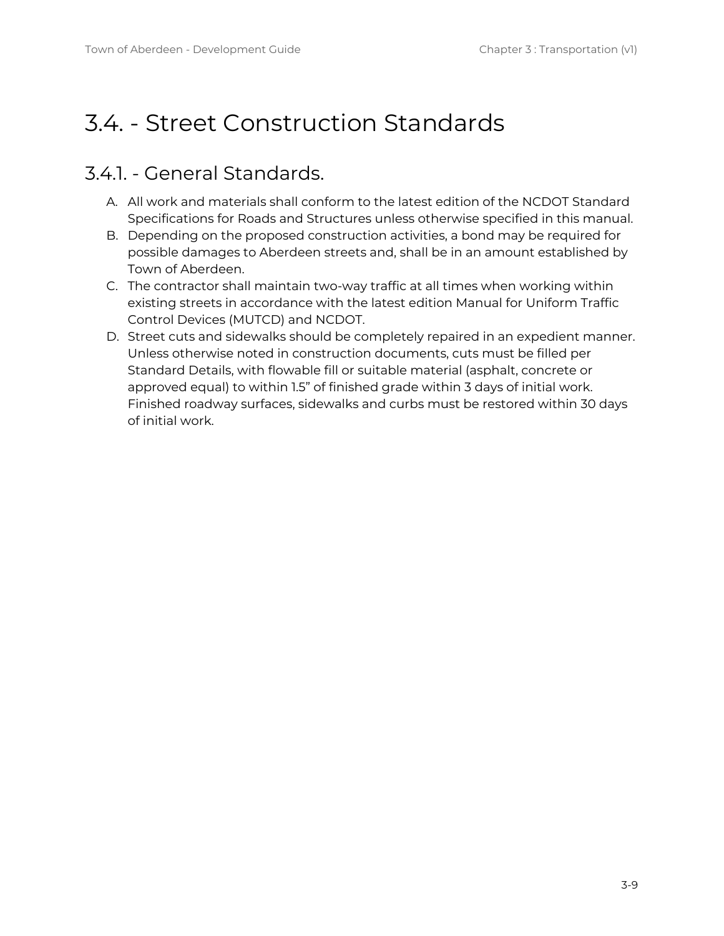# <span id="page-8-0"></span>3.4. - Street Construction Standards

### <span id="page-8-1"></span>3.4.1. - General Standards.

- A. All work and materials shall conform to the latest edition of the NCDOT Standard Specifications for Roads and Structures unless otherwise specified in this manual.
- B. Depending on the proposed construction activities, a bond may be required for possible damages to Aberdeen streets and, shall be in an amount established by Town of Aberdeen.
- C. The contractor shall maintain two-way traffic at all times when working within existing streets in accordance with the latest edition Manual for Uniform Traffic Control Devices (MUTCD) and NCDOT.
- D. Street cuts and sidewalks should be completely repaired in an expedient manner. Unless otherwise noted in construction documents, cuts must be filled per Standard Details, with flowable fill or suitable material (asphalt, concrete or approved equal) to within 1.5" of finished grade within 3 days of initial work. Finished roadway surfaces, sidewalks and curbs must be restored within 30 days of initial work.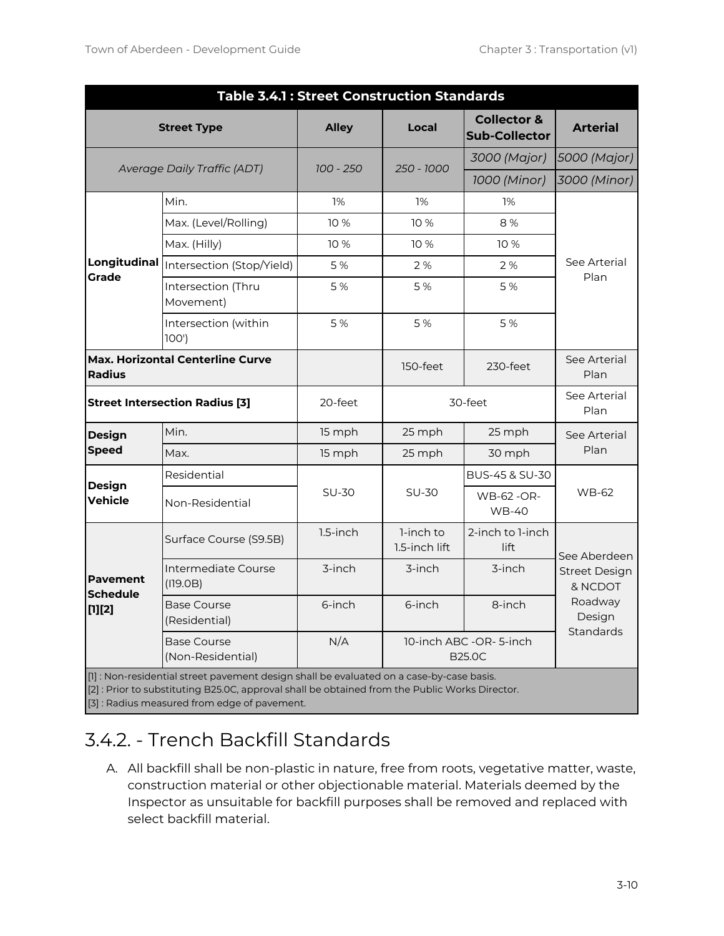| <b>Table 3.4.1: Street Construction Standards</b>        |                                         |              |                                         |                                                |                                 |  |  |  |
|----------------------------------------------------------|-----------------------------------------|--------------|-----------------------------------------|------------------------------------------------|---------------------------------|--|--|--|
|                                                          | <b>Street Type</b>                      | <b>Alley</b> | Local                                   | <b>Collector &amp;</b><br><b>Sub-Collector</b> | <b>Arterial</b>                 |  |  |  |
| <b>Average Daily Traffic (ADT)</b>                       |                                         | $100 - 250$  | 250 - 1000                              | 3000 (Major)                                   | 5000 (Major)                    |  |  |  |
|                                                          |                                         |              |                                         | 1000 (Minor)                                   | 3000 (Minor)                    |  |  |  |
|                                                          | Min.                                    |              | 1%                                      | 1%                                             |                                 |  |  |  |
|                                                          | Max. (Level/Rolling)                    | 10 %         | 10 %                                    | 8%                                             |                                 |  |  |  |
|                                                          | Max. (Hilly)                            | 10 %         | 10 %                                    | 10 %                                           |                                 |  |  |  |
| Longitudinal<br><b>Grade</b>                             | Intersection (Stop/Yield)               | 5 %          | 2 %                                     | 2%                                             | See Arterial<br>Plan            |  |  |  |
|                                                          | Intersection (Thru<br>Movement)         | 5%           | 5 %                                     | 5 %                                            |                                 |  |  |  |
|                                                          | Intersection (within<br>100'            | 5%           | 5 %                                     | 5 %                                            |                                 |  |  |  |
| <b>Max. Horizontal Centerline Curve</b><br><b>Radius</b> |                                         |              | 150-feet                                | $230$ -feet                                    | See Arterial<br>Plan            |  |  |  |
| <b>Street Intersection Radius [3]</b>                    |                                         | 20-feet      | 30-feet                                 |                                                | See Arterial<br>Plan            |  |  |  |
| <b>Design</b>                                            | Min.                                    | 15 mph       | 25 mph                                  | 25 mph                                         | See Arterial                    |  |  |  |
| <b>Speed</b>                                             | Max.                                    | 15 mph       | 25 mph                                  | 30 mph                                         | Plan                            |  |  |  |
| <b>Design</b>                                            | Residential                             |              |                                         | BUS-45 & SU-30                                 | <b>WB-62</b>                    |  |  |  |
| <b>Vehicle</b>                                           | Non-Residential                         | <b>SU-30</b> | <b>SU-30</b>                            | <b>WB-62 -OR-</b><br><b>WB-40</b>              |                                 |  |  |  |
|                                                          | Surface Course (S9.5B)                  | 1.5-inch     | 1-inch to<br>1.5-inch lift              | 2-inch to 1-inch<br>lift                       | See Aberdeen                    |  |  |  |
| <b>Pavement</b><br><b>Schedule</b><br>$[1][2]$           | Intermediate Course<br>(119.0B)         | 3-inch       | 3-inch                                  | 3-inch                                         | <b>Street Design</b><br>& NCDOT |  |  |  |
|                                                          | <b>Base Course</b><br>(Residential)     | 6-inch       | 6-inch                                  | 8-inch                                         | Roadway<br>Design               |  |  |  |
|                                                          | <b>Base Course</b><br>(Non-Residential) | N/A          | 10-inch ABC -OR-5-inch<br><b>B25.0C</b> |                                                | Standards                       |  |  |  |

[1] : Non-residential street pavement design shall be evaluated on a case-by-case basis.

[2] : Prior to substituting B25.0C, approval shall be obtained from the Public Works Director.

[3] : Radius measured from edge of pavement.

# <span id="page-9-0"></span>3.4.2. - Trench Backfill Standards

A. All backfill shall be non-plastic in nature, free from roots, vegetative matter, waste, construction material or other objectionable material. Materials deemed by the Inspector as unsuitable for backfill purposes shall be removed and replaced with select backfill material.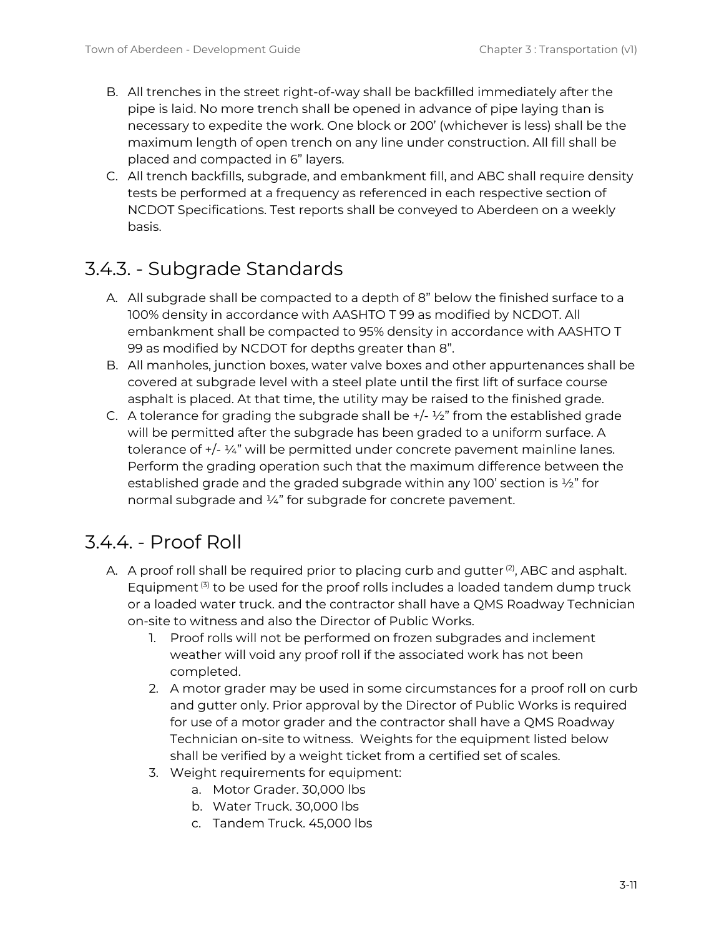- B. All trenches in the street right-of-way shall be backfilled immediately after the pipe is laid. No more trench shall be opened in advance of pipe laying than is necessary to expedite the work. One block or 200' (whichever is less) shall be the maximum length of open trench on any line under construction. All fill shall be placed and compacted in 6" layers.
- C. All trench backfills, subgrade, and embankment fill, and ABC shall require density tests be performed at a frequency as referenced in each respective section of NCDOT Specifications. Test reports shall be conveyed to Aberdeen on a weekly basis.

# <span id="page-10-0"></span>3.4.3. - Subgrade Standards

- A. All subgrade shall be compacted to a depth of 8" below the finished surface to a 100% density in accordance with AASHTO T 99 as modified by NCDOT. All embankment shall be compacted to 95% density in accordance with AASHTO T 99 as modified by NCDOT for depths greater than 8".
- B. All manholes, junction boxes, water valve boxes and other appurtenances shall be covered at subgrade level with a steel plate until the first lift of surface course asphalt is placed. At that time, the utility may be raised to the finished grade.
- C. A tolerance for grading the subgrade shall be  $+/- ½$ " from the established grade will be permitted after the subgrade has been graded to a uniform surface. A tolerance of +/- ¼" will be permitted under concrete pavement mainline lanes. Perform the grading operation such that the maximum difference between the established grade and the graded subgrade within any 100' section is  $\frac{1}{2}$ " for normal subgrade and 1/4" for subgrade for concrete pavement.

## <span id="page-10-1"></span>3.4.4. - Proof Roll

- A.  $\,$  A proof roll shall be required prior to placing curb and gutter  $^{(2)}$ , ABC and asphalt. Equipment<sup>(3)</sup> to be used for the proof rolls includes a loaded tandem dump truck or a loaded water truck. and the contractor shall have a QMS Roadway Technician on-site to witness and also the Director of Public Works.
	- 1. Proof rolls will not be performed on frozen subgrades and inclement weather will void any proof roll if the associated work has not been completed.
	- 2. A motor grader may be used in some circumstances for a proof roll on curb and gutter only. Prior approval by the Director of Public Works is required for use of a motor grader and the contractor shall have a QMS Roadway Technician on-site to witness. Weights for the equipment listed below shall be verified by a weight ticket from a certified set of scales.
	- 3. Weight requirements for equipment:
		- a. Motor Grader. 30,000 lbs
		- b. Water Truck. 30,000 lbs
		- c. Tandem Truck. 45,000 lbs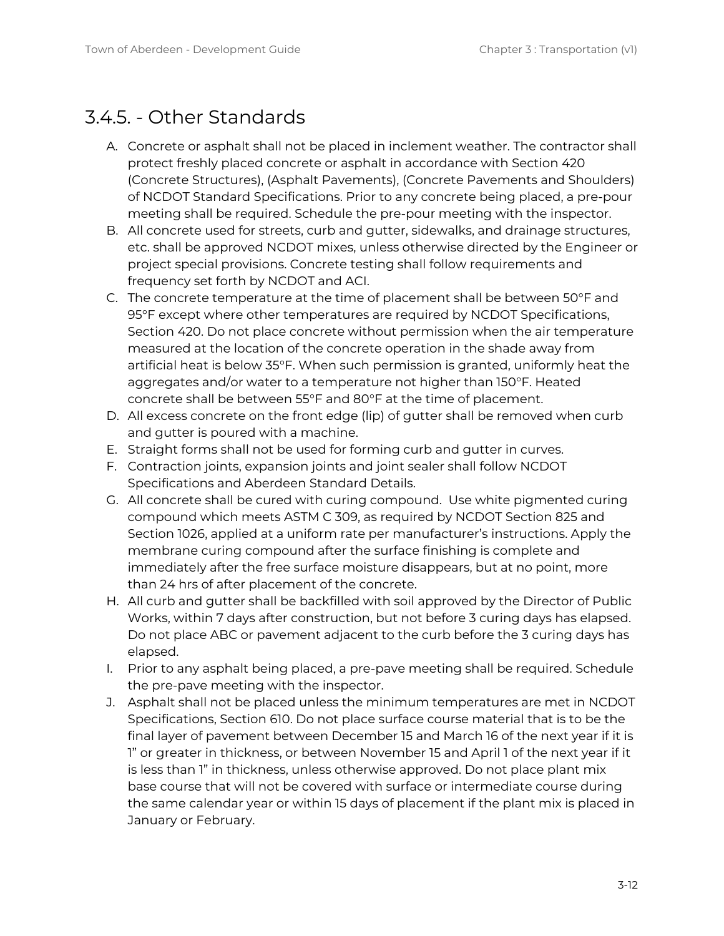# <span id="page-11-0"></span>3.4.5. - Other Standards

- A. Concrete or asphalt shall not be placed in inclement weather. The contractor shall protect freshly placed concrete or asphalt in accordance with Section 420 (Concrete Structures), (Asphalt Pavements), (Concrete Pavements and Shoulders) of NCDOT Standard Specifications. Prior to any concrete being placed, a pre-pour meeting shall be required. Schedule the pre-pour meeting with the inspector.
- B. All concrete used for streets, curb and gutter, sidewalks, and drainage structures, etc. shall be approved NCDOT mixes, unless otherwise directed by the Engineer or project special provisions. Concrete testing shall follow requirements and frequency set forth by NCDOT and ACI.
- C. The concrete temperature at the time of placement shall be between 50°F and 95°F except where other temperatures are required by NCDOT Specifications, Section 420. Do not place concrete without permission when the air temperature measured at the location of the concrete operation in the shade away from artificial heat is below 35°F. When such permission is granted, uniformly heat the aggregates and/or water to a temperature not higher than 150°F. Heated concrete shall be between 55°F and 80°F at the time of placement.
- D. All excess concrete on the front edge (lip) of gutter shall be removed when curb and gutter is poured with a machine.
- E. Straight forms shall not be used for forming curb and gutter in curves.
- F. Contraction joints, expansion joints and joint sealer shall follow NCDOT Specifications and Aberdeen Standard Details.
- G. All concrete shall be cured with curing compound. Use white pigmented curing compound which meets ASTM C 309, as required by NCDOT Section 825 and Section 1026, applied at a uniform rate per manufacturer's instructions. Apply the membrane curing compound after the surface finishing is complete and immediately after the free surface moisture disappears, but at no point, more than 24 hrs of after placement of the concrete.
- H. All curb and gutter shall be backfilled with soil approved by the Director of Public Works, within 7 days after construction, but not before 3 curing days has elapsed. Do not place ABC or pavement adjacent to the curb before the 3 curing days has elapsed.
- I. Prior to any asphalt being placed, a pre-pave meeting shall be required. Schedule the pre-pave meeting with the inspector.
- J. Asphalt shall not be placed unless the minimum temperatures are met in NCDOT Specifications, Section 610. Do not place surface course material that is to be the final layer of pavement between December 15 and March 16 of the next year if it is 1" or greater in thickness, or between November 15 and April 1 of the next year if it is less than 1" in thickness, unless otherwise approved. Do not place plant mix base course that will not be covered with surface or intermediate course during the same calendar year or within 15 days of placement if the plant mix is placed in January or February.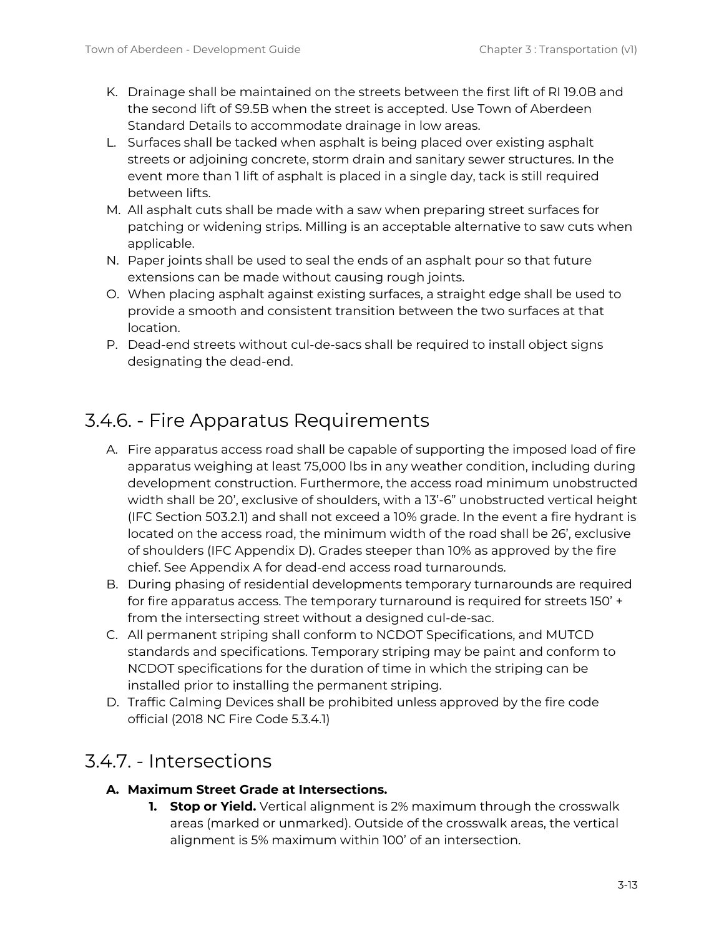- K. Drainage shall be maintained on the streets between the first lift of RI 19.0B and the second lift of S9.5B when the street is accepted. Use Town of Aberdeen Standard Details to accommodate drainage in low areas.
- L. Surfaces shall be tacked when asphalt is being placed over existing asphalt streets or adjoining concrete, storm drain and sanitary sewer structures. In the event more than 1 lift of asphalt is placed in a single day, tack is still required between lifts.
- M. All asphalt cuts shall be made with a saw when preparing street surfaces for patching or widening strips. Milling is an acceptable alternative to saw cuts when applicable.
- N. Paper joints shall be used to seal the ends of an asphalt pour so that future extensions can be made without causing rough joints.
- O. When placing asphalt against existing surfaces, a straight edge shall be used to provide a smooth and consistent transition between the two surfaces at that location.
- P. Dead-end streets without cul-de-sacs shall be required to install object signs designating the dead-end.

# <span id="page-12-0"></span>3.4.6. - Fire Apparatus Requirements

- A. Fire apparatus access road shall be capable of supporting the imposed load of fire apparatus weighing at least 75,000 lbs in any weather condition, including during development construction. Furthermore, the access road minimum unobstructed width shall be 20', exclusive of shoulders, with a 13'-6" unobstructed vertical height (IFC Section 503.2.1) and shall not exceed a 10% grade. In the event a fire hydrant is located on the access road, the minimum width of the road shall be 26', exclusive of shoulders (IFC Appendix D). Grades steeper than 10% as approved by the fire chief. See Appendix A for dead-end access road turnarounds.
- B. During phasing of residential developments temporary turnarounds are required for fire apparatus access. The temporary turnaround is required for streets 150' + from the intersecting street without a designed cul-de-sac.
- C. All permanent striping shall conform to NCDOT Specifications, and MUTCD standards and specifications. Temporary striping may be paint and conform to NCDOT specifications for the duration of time in which the striping can be installed prior to installing the permanent striping.
- D. Traffic Calming Devices shall be prohibited unless approved by the fire code official (2018 NC Fire Code 5.3.4.1)

## <span id="page-12-1"></span>3.4.7. - Intersections

#### **A. Maximum Street Grade at Intersections.**

**1. Stop or Yield.** Vertical alignment is 2% maximum through the crosswalk areas (marked or unmarked). Outside of the crosswalk areas, the vertical alignment is 5% maximum within 100' of an intersection.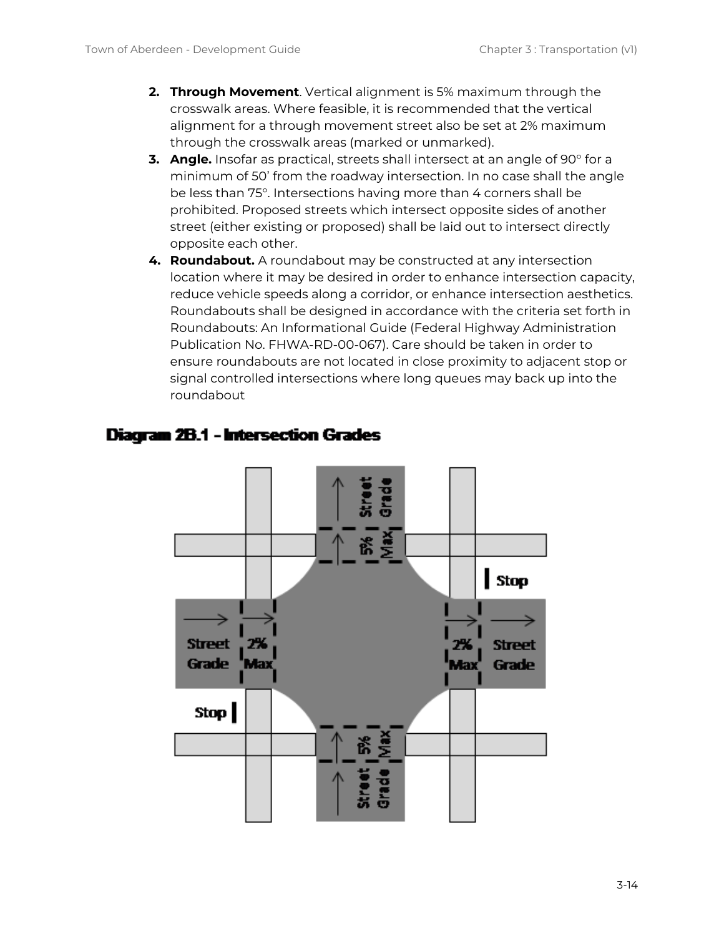- **2. Through Movement**. Vertical alignment is 5% maximum through the crosswalk areas. Where feasible, it is recommended that the vertical alignment for a through movement street also be set at 2% maximum through the crosswalk areas (marked or unmarked).
- **3. Angle.** Insofar as practical, streets shall intersect at an angle of 90° for a minimum of 50' from the roadway intersection. In no case shall the angle be less than 75°. Intersections having more than 4 corners shall be prohibited. Proposed streets which intersect opposite sides of another street (either existing or proposed) shall be laid out to intersect directly opposite each other.
- **4. Roundabout.** A roundabout may be constructed at any intersection location where it may be desired in order to enhance intersection capacity, reduce vehicle speeds along a corridor, or enhance intersection aesthetics. Roundabouts shall be designed in accordance with the criteria set forth in Roundabouts: An Informational Guide (Federal Highway Administration Publication No. FHWA-RD-00-067). Care should be taken in order to ensure roundabouts are not located in close proximity to adjacent stop or signal controlled intersections where long queues may back up into the roundabout



#### **Diagram 2B.1 - Intersection Grades**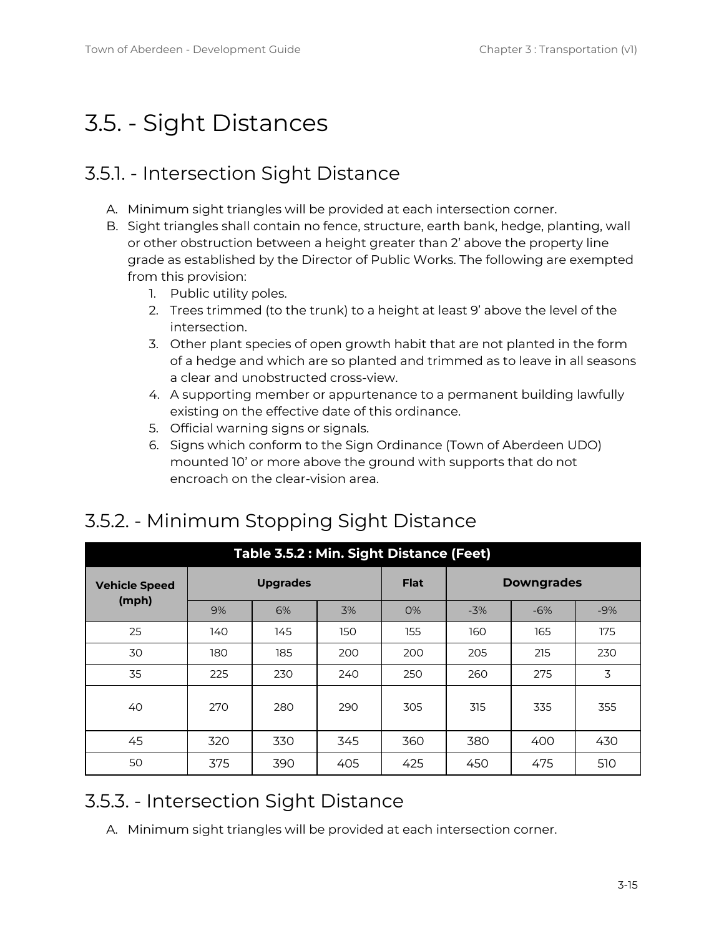# <span id="page-14-0"></span>3.5. - Sight Distances

## <span id="page-14-1"></span>3.5.1. - Intersection Sight Distance

- A. Minimum sight triangles will be provided at each intersection corner.
- B. Sight triangles shall contain no fence, structure, earth bank, hedge, planting, wall or other obstruction between a height greater than 2' above the property line grade as established by the Director of Public Works. The following are exempted from this provision:
	- 1. Public utility poles.
	- 2. Trees trimmed (to the trunk) to a height at least 9' above the level of the intersection.
	- 3. Other plant species of open growth habit that are not planted in the form of a hedge and which are so planted and trimmed as to leave in all seasons a clear and unobstructed cross-view.
	- 4. A supporting member or appurtenance to a permanent building lawfully existing on the effective date of this ordinance.
	- 5. Official warning signs or signals.
	- 6. Signs which conform to the Sign Ordinance (Town of Aberdeen UDO) mounted 10' or more above the ground with supports that do not encroach on the clear-vision area.

| Table 3.5.2 : Min. Sight Distance (Feet) |     |                 |     |             |                   |       |       |  |  |
|------------------------------------------|-----|-----------------|-----|-------------|-------------------|-------|-------|--|--|
| <b>Vehicle Speed</b>                     |     | <b>Upgrades</b> |     | <b>Flat</b> | <b>Downgrades</b> |       |       |  |  |
| (mph)                                    | 9%  | 6%              | 3%  | O%          | $-3%$             | $-6%$ | $-9%$ |  |  |
| 25                                       | 140 | 145             | 150 | 155         | 160               | 165   | 175   |  |  |
| 30                                       | 180 | 185             | 200 | 200         | 205               | 215   | 230   |  |  |
| 35                                       | 225 | 230             | 240 | 250         | 260               | 275   | 3     |  |  |
| 40                                       | 270 | 280             | 290 | 305         | 315               | 335   | 355   |  |  |
| 45                                       | 320 | 330             | 345 | 360         | 380               | 400   | 430   |  |  |
| 50                                       | 375 | 390             | 405 | 425         | 450               | 475   | 510   |  |  |

# <span id="page-14-2"></span>3.5.2. - Minimum Stopping Sight Distance

## <span id="page-14-3"></span>3.5.3. - Intersection Sight Distance

A. Minimum sight triangles will be provided at each intersection corner.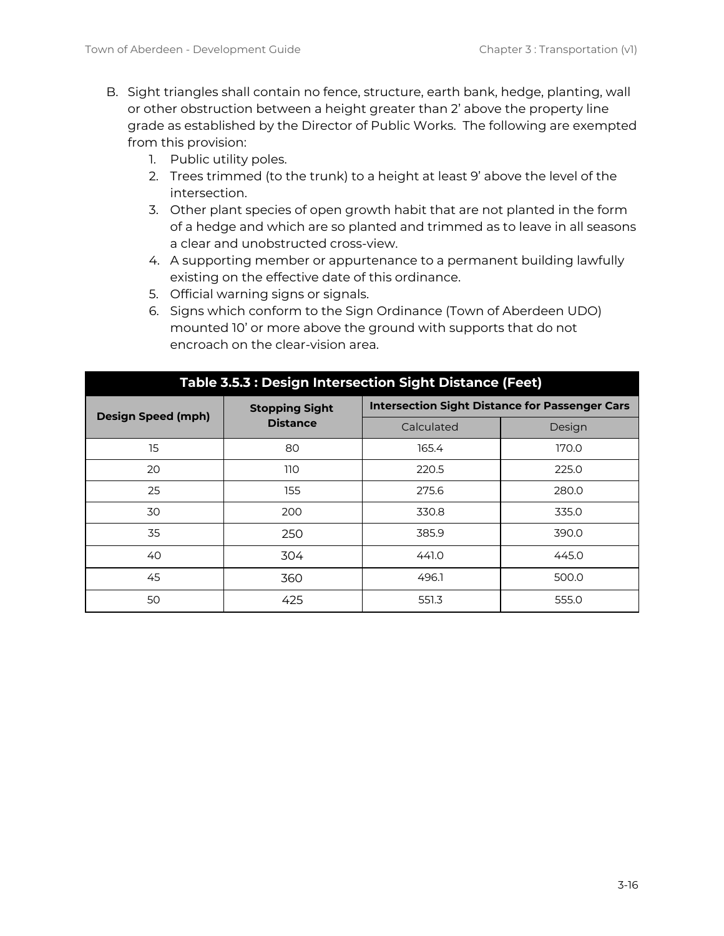- B. Sight triangles shall contain no fence, structure, earth bank, hedge, planting, wall or other obstruction between a height greater than 2' above the property line grade as established by the Director of Public Works. The following are exempted from this provision:
	- 1. Public utility poles.
	- 2. Trees trimmed (to the trunk) to a height at least 9' above the level of the intersection.
	- 3. Other plant species of open growth habit that are not planted in the form of a hedge and which are so planted and trimmed as to leave in all seasons a clear and unobstructed cross-view.
	- 4. A supporting member or appurtenance to a permanent building lawfully existing on the effective date of this ordinance.
	- 5. Official warning signs or signals.
	- 6. Signs which conform to the Sign Ordinance (Town of Aberdeen UDO) mounted 10' or more above the ground with supports that do not encroach on the clear-vision area.

| rable 3.5.3 . Design intersection signt Distance (Feet) |                       |                                                       |        |  |  |  |  |
|---------------------------------------------------------|-----------------------|-------------------------------------------------------|--------|--|--|--|--|
| <b>Design Speed (mph)</b>                               | <b>Stopping Sight</b> | <b>Intersection Sight Distance for Passenger Cars</b> |        |  |  |  |  |
|                                                         | <b>Distance</b>       | Calculated                                            | Design |  |  |  |  |
| 15                                                      | 80                    | 165.4                                                 | 170.0  |  |  |  |  |
| 20                                                      | 110                   | 220.5                                                 | 225.0  |  |  |  |  |
| 25                                                      | 155                   | 275.6                                                 | 280.0  |  |  |  |  |
| 30                                                      | 200                   | 330.8                                                 | 335.0  |  |  |  |  |
| 35                                                      | 250                   | 385.9                                                 | 390.0  |  |  |  |  |
| 40                                                      | 304                   | 441.0                                                 | 445.0  |  |  |  |  |
| 45                                                      | 360                   | 496.1                                                 | 500.0  |  |  |  |  |
| 50                                                      | 425                   | 551.3                                                 | 555.0  |  |  |  |  |

### **Table 3.5.3 : Design Intersection Sight Distance (Feet)**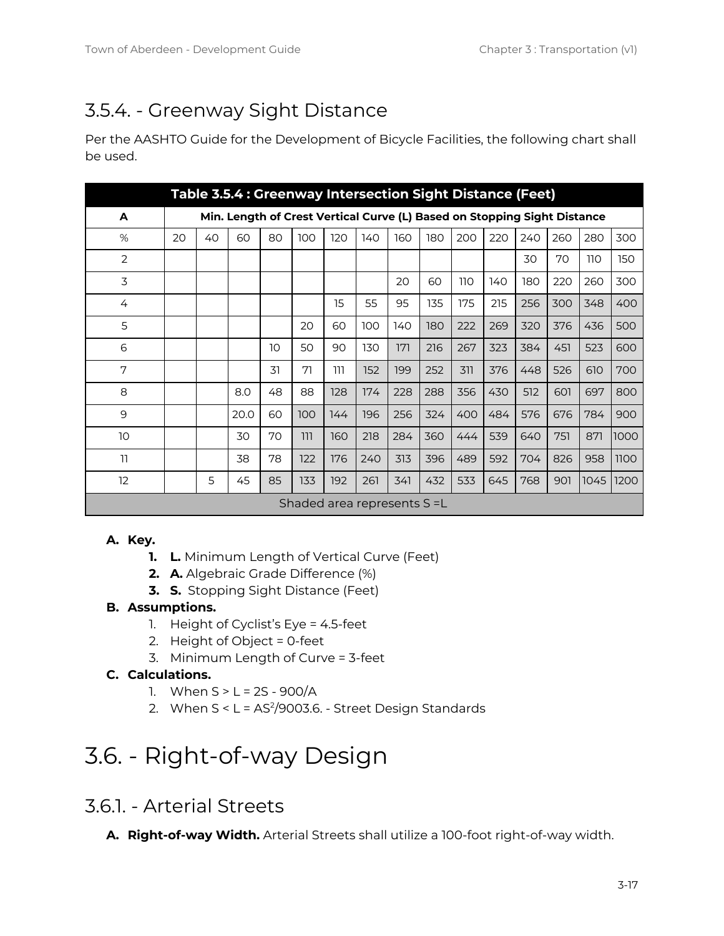# <span id="page-16-0"></span>3.5.4. - Greenway Sight Distance

Per the AASHTO Guide for the Development of Bicycle Facilities, the following chart shall be used.

| Table 3.5.4 : Greenway Intersection Sight Distance (Feet) |                                                                          |    |      |    |     |     |     |     |     |     |     |     |     |            |      |
|-----------------------------------------------------------|--------------------------------------------------------------------------|----|------|----|-----|-----|-----|-----|-----|-----|-----|-----|-----|------------|------|
| A                                                         | Min. Length of Crest Vertical Curve (L) Based on Stopping Sight Distance |    |      |    |     |     |     |     |     |     |     |     |     |            |      |
| %                                                         | 20                                                                       | 40 | 60   | 80 | 100 | 120 | 140 | 160 | 180 | 200 | 220 | 240 | 260 | 280        | 300  |
| $\overline{2}$                                            |                                                                          |    |      |    |     |     |     |     |     |     |     | 30  | 70  | <b>110</b> | 150  |
| 3                                                         |                                                                          |    |      |    |     |     |     | 20  | 60  | 110 | 140 | 180 | 220 | 260        | 300  |
| 4                                                         |                                                                          |    |      |    |     | 15  | 55  | 95  | 135 | 175 | 215 | 256 | 300 | 348        | 400  |
| 5                                                         |                                                                          |    |      |    | 20  | 60  | 100 | 140 | 180 | 222 | 269 | 320 | 376 | 436        | 500  |
| 6                                                         |                                                                          |    |      | 10 | 50  | 90  | 130 | 171 | 216 | 267 | 323 | 384 | 451 | 523        | 600  |
| 7                                                         |                                                                          |    |      | 31 | 71  | 111 | 152 | 199 | 252 | 311 | 376 | 448 | 526 | 610        | 700  |
| 8                                                         |                                                                          |    | 8.0  | 48 | 88  | 128 | 174 | 228 | 288 | 356 | 430 | 512 | 601 | 697        | 800  |
| 9                                                         |                                                                          |    | 20.0 | 60 | 100 | 144 | 196 | 256 | 324 | 400 | 484 | 576 | 676 | 784        | 900  |
| 10                                                        |                                                                          |    | 30   | 70 | 111 | 160 | 218 | 284 | 360 | 444 | 539 | 640 | 751 | 871        | 1000 |
| 11                                                        |                                                                          |    | 38   | 78 | 122 | 176 | 240 | 313 | 396 | 489 | 592 | 704 | 826 | 958        | 1100 |
| 12                                                        |                                                                          | 5  | 45   | 85 | 133 | 192 | 261 | 341 | 432 | 533 | 645 | 768 | 901 | 1045       | 1200 |
| Shaded area represents S = L                              |                                                                          |    |      |    |     |     |     |     |     |     |     |     |     |            |      |

#### **A. Key.**

- **1. L.** Minimum Length of Vertical Curve (Feet)
- **2. A.** Algebraic Grade Difference (%)
- **3. S.** Stopping Sight Distance (Feet)

#### **B. Assumptions.**

- 1. Height of Cyclist's Eye = 4.5-feet
- 2. Height of Object = 0-feet
- 3. Minimum Length of Curve = 3-feet

#### **C. Calculations.**

- 1. When  $S > L = 2S 900/A$
- 2. When S < L = AS 2 /9003.6. Street Design Standards

# <span id="page-16-1"></span>3.6. - Right-of-way Design

### <span id="page-16-2"></span>3.6.1. - Arterial Streets

**A. Right-of-way Width.** Arterial Streets shall utilize a 100-foot right-of-way width.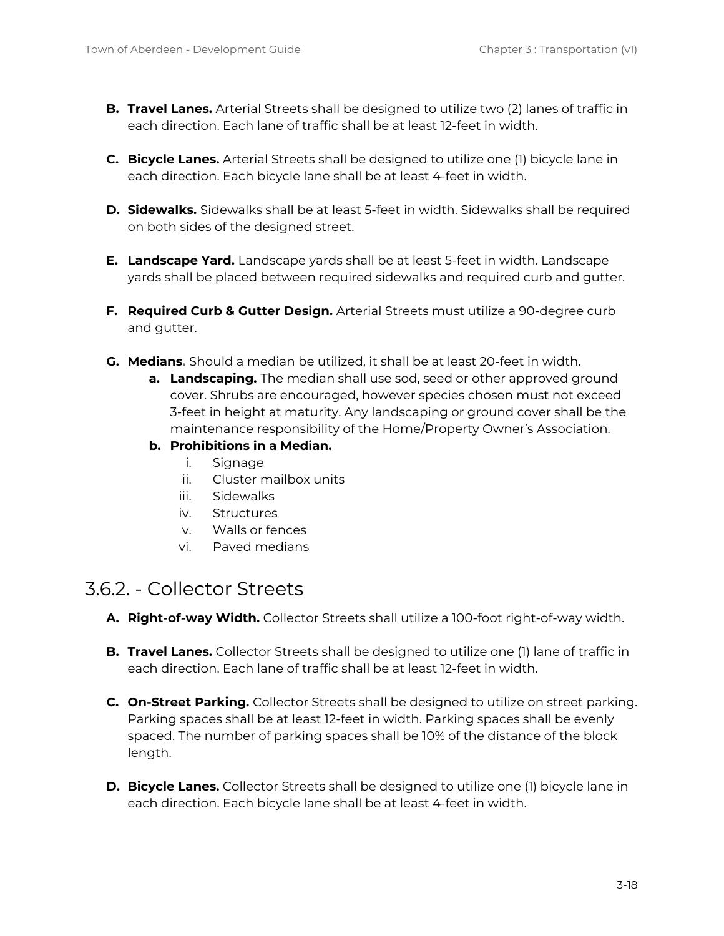- **B. Travel Lanes.** Arterial Streets shall be designed to utilize two (2) lanes of traffic in each direction. Each lane of traffic shall be at least 12-feet in width.
- **C. Bicycle Lanes.** Arterial Streets shall be designed to utilize one (1) bicycle lane in each direction. Each bicycle lane shall be at least 4-feet in width.
- **D. Sidewalks.** Sidewalks shall be at least 5-feet in width. Sidewalks shall be required on both sides of the designed street.
- **E. Landscape Yard.** Landscape yards shall be at least 5-feet in width. Landscape yards shall be placed between required sidewalks and required curb and gutter.
- **F. Required Curb & Gutter Design.** Arterial Streets must utilize a 90-degree curb and gutter.
- **G. Medians.** Should a median be utilized, it shall be at least 20-feet in width.
	- **a. Landscaping.** The median shall use sod, seed or other approved ground cover. Shrubs are encouraged, however species chosen must not exceed 3-feet in height at maturity. Any landscaping or ground cover shall be the maintenance responsibility of the Home/Property Owner's Association.
	- **b. Prohibitions in a Median.**
		- i. Signage
		- ii. Cluster mailbox units
		- iii. Sidewalks
		- iv. Structures
		- v. Walls or fences
		- vi. Paved medians

### <span id="page-17-0"></span>3.6.2. - Collector Streets

- **A. Right-of-way Width.** Collector Streets shall utilize a 100-foot right-of-way width.
- **B. Travel Lanes.** Collector Streets shall be designed to utilize one (1) lane of traffic in each direction. Each lane of traffic shall be at least 12-feet in width.
- **C. On-Street Parking.** Collector Streets shall be designed to utilize on street parking. Parking spaces shall be at least 12-feet in width. Parking spaces shall be evenly spaced. The number of parking spaces shall be 10% of the distance of the block length.
- **D. Bicycle Lanes.** Collector Streets shall be designed to utilize one (1) bicycle lane in each direction. Each bicycle lane shall be at least 4-feet in width.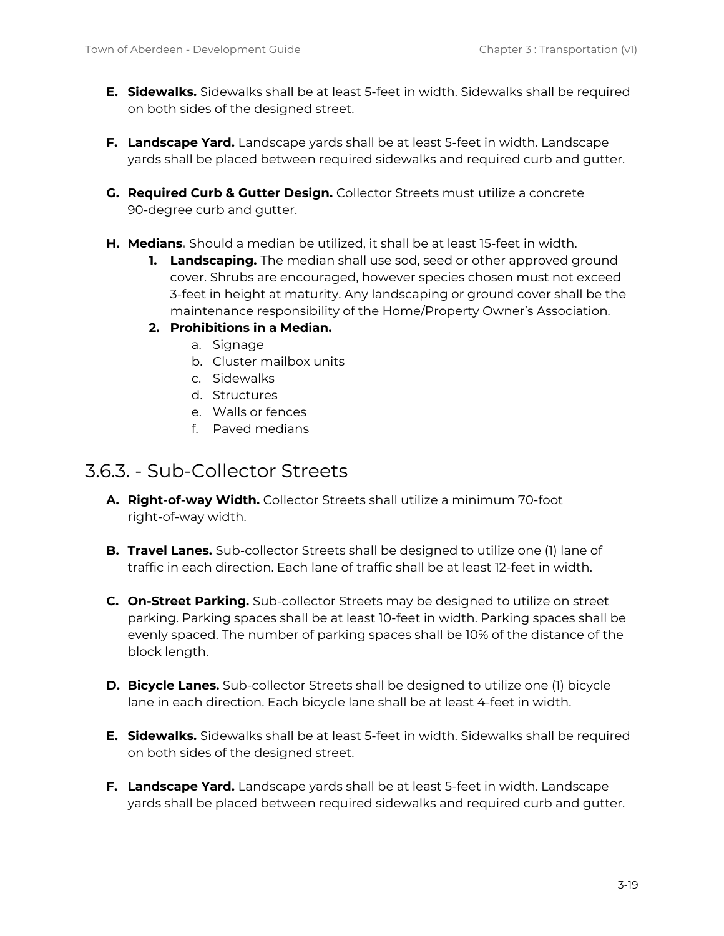- **E. Sidewalks.** Sidewalks shall be at least 5-feet in width. Sidewalks shall be required on both sides of the designed street.
- **F. Landscape Yard.** Landscape yards shall be at least 5-feet in width. Landscape yards shall be placed between required sidewalks and required curb and gutter.
- **G. Required Curb & Gutter Design.** Collector Streets must utilize a concrete 90-degree curb and gutter.
- **H. Medians.** Should a median be utilized, it shall be at least 15-feet in width.
	- **1. Landscaping.** The median shall use sod, seed or other approved ground cover. Shrubs are encouraged, however species chosen must not exceed 3-feet in height at maturity. Any landscaping or ground cover shall be the maintenance responsibility of the Home/Property Owner's Association.
	- **2. Prohibitions in a Median.**
		- a. Signage
		- b. Cluster mailbox units
		- c. Sidewalks
		- d. Structures
		- e. Walls or fences
		- f. Paved medians

#### <span id="page-18-0"></span>3.6.3. - Sub-Collector Streets

- **A. Right-of-way Width.** Collector Streets shall utilize a minimum 70-foot right-of-way width.
- **B. Travel Lanes.** Sub-collector Streets shall be designed to utilize one (1) lane of traffic in each direction. Each lane of traffic shall be at least 12-feet in width.
- **C. On-Street Parking.** Sub-collector Streets may be designed to utilize on street parking. Parking spaces shall be at least 10-feet in width. Parking spaces shall be evenly spaced. The number of parking spaces shall be 10% of the distance of the block length.
- **D. Bicycle Lanes.** Sub-collector Streets shall be designed to utilize one (1) bicycle lane in each direction. Each bicycle lane shall be at least 4-feet in width.
- **E. Sidewalks.** Sidewalks shall be at least 5-feet in width. Sidewalks shall be required on both sides of the designed street.
- **F. Landscape Yard.** Landscape yards shall be at least 5-feet in width. Landscape yards shall be placed between required sidewalks and required curb and gutter.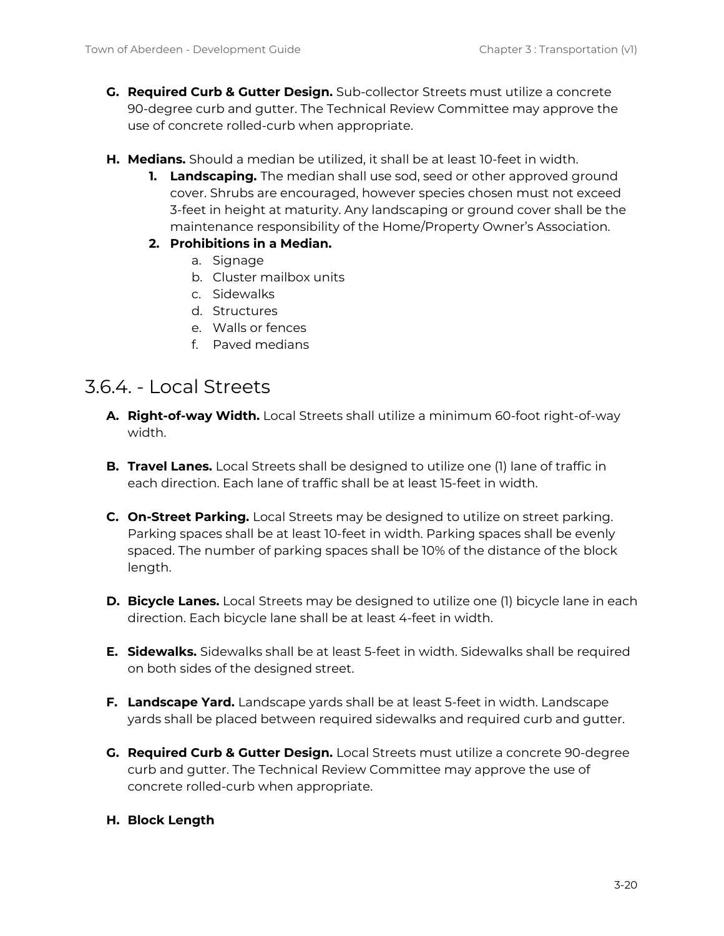- **G. Required Curb & Gutter Design.** Sub-collector Streets must utilize a concrete 90-degree curb and gutter. The Technical Review Committee may approve the use of concrete rolled-curb when appropriate.
- **H. Medians.** Should a median be utilized, it shall be at least 10-feet in width.
	- **1. Landscaping.** The median shall use sod, seed or other approved ground cover. Shrubs are encouraged, however species chosen must not exceed 3-feet in height at maturity. Any landscaping or ground cover shall be the maintenance responsibility of the Home/Property Owner's Association.
	- **2. Prohibitions in a Median.**
		- a. Signage
		- b. Cluster mailbox units
		- c. Sidewalks
		- d. Structures
		- e. Walls or fences
		- f. Paved medians

#### <span id="page-19-0"></span>3.6.4. - Local Streets

- **A. Right-of-way Width.** Local Streets shall utilize a minimum 60-foot right-of-way width.
- **B. Travel Lanes.** Local Streets shall be designed to utilize one (1) lane of traffic in each direction. Each lane of traffic shall be at least 15-feet in width.
- **C. On-Street Parking.** Local Streets may be designed to utilize on street parking. Parking spaces shall be at least 10-feet in width. Parking spaces shall be evenly spaced. The number of parking spaces shall be 10% of the distance of the block length.
- **D. Bicycle Lanes.** Local Streets may be designed to utilize one (1) bicycle lane in each direction. Each bicycle lane shall be at least 4-feet in width.
- **E. Sidewalks.** Sidewalks shall be at least 5-feet in width. Sidewalks shall be required on both sides of the designed street.
- **F. Landscape Yard.** Landscape yards shall be at least 5-feet in width. Landscape yards shall be placed between required sidewalks and required curb and gutter.
- **G. Required Curb & Gutter Design.** Local Streets must utilize a concrete 90-degree curb and gutter. The Technical Review Committee may approve the use of concrete rolled-curb when appropriate.

#### **H. Block Length**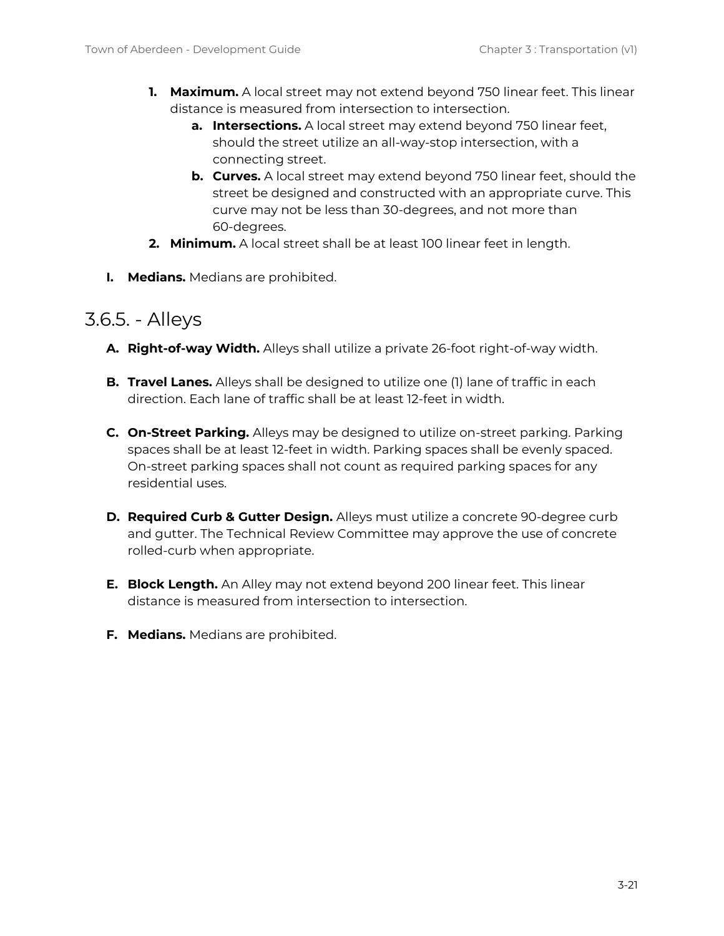- **1. Maximum.** A local street may not extend beyond 750 linear feet. This linear distance is measured from intersection to intersection.
	- **a. Intersections.** A local street may extend beyond 750 linear feet, should the street utilize an all-way-stop intersection, with a connecting street.
	- **b. Curves.** A local street may extend beyond 750 linear feet, should the street be designed and constructed with an appropriate curve. This curve may not be less than 30-degrees, and not more than 60-degrees.
- **2. Minimum.** A local street shall be at least 100 linear feet in length.
- **I. Medians.** Medians are prohibited.

#### <span id="page-20-0"></span>3.6.5. - Alleys

- **A. Right-of-way Width.** Alleys shall utilize a private 26-foot right-of-way width.
- **B. Travel Lanes.** Alleys shall be designed to utilize one (1) lane of traffic in each direction. Each lane of traffic shall be at least 12-feet in width.
- **C. On-Street Parking.** Alleys may be designed to utilize on-street parking. Parking spaces shall be at least 12-feet in width. Parking spaces shall be evenly spaced. On-street parking spaces shall not count as required parking spaces for any residential uses.
- **D. Required Curb & Gutter Design.** Alleys must utilize a concrete 90-degree curb and gutter. The Technical Review Committee may approve the use of concrete rolled-curb when appropriate.
- **E. Block Length.** An Alley may not extend beyond 200 linear feet. This linear distance is measured from intersection to intersection.
- **F. Medians.** Medians are prohibited.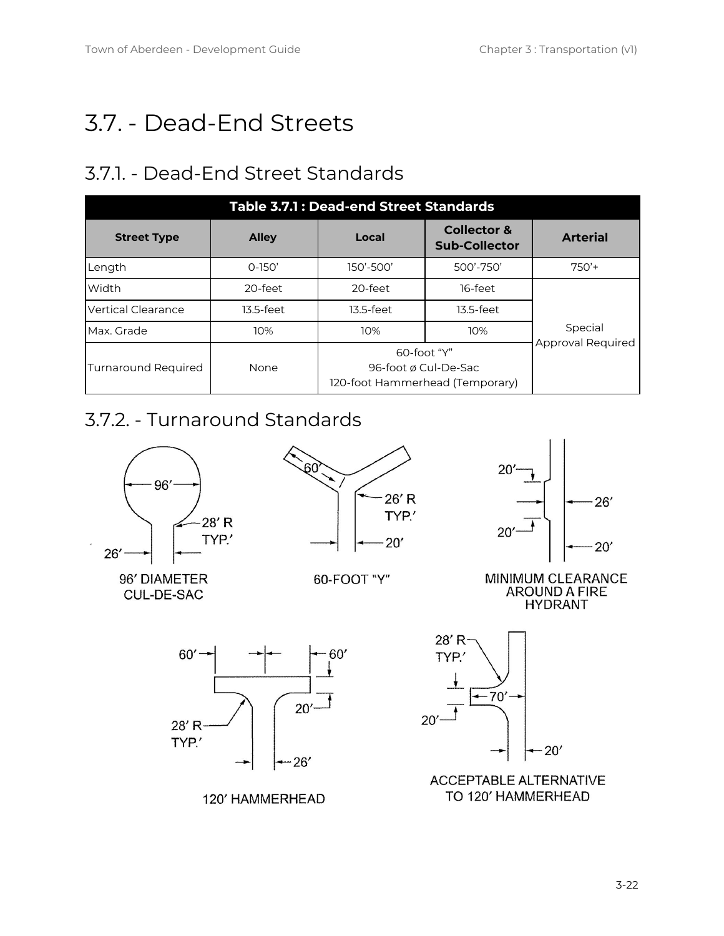# <span id="page-21-0"></span>3.7. - Dead-End Streets

# <span id="page-21-1"></span>3.7.1. - Dead-End Street Standards

| Table 3.7.1 : Dead-end Street Standards |              |                                                                           |                                                |                 |  |  |  |  |
|-----------------------------------------|--------------|---------------------------------------------------------------------------|------------------------------------------------|-----------------|--|--|--|--|
| <b>Street Type</b>                      | <b>Alley</b> | Local                                                                     | <b>Collector &amp;</b><br><b>Sub-Collector</b> | <b>Arterial</b> |  |  |  |  |
| Length                                  | $O-15O'$     | 150'-500'                                                                 | 500'-750'                                      | $750'$ +        |  |  |  |  |
| Width                                   | 20-feet      | 20-feet                                                                   | 16-feet                                        |                 |  |  |  |  |
| <b>Vertical Clearance</b>               | 13.5-feet    | 13.5-feet                                                                 | 13.5-feet                                      |                 |  |  |  |  |
| Max. Grade                              | 10%          | 10%                                                                       | 10%                                            |                 |  |  |  |  |
| <b>Turnaround Required</b>              | None         | $60$ -foot "Y"<br>96-foot ø Cul-De-Sac<br>120-foot Hammerhead (Temporary) | Approval Required                              |                 |  |  |  |  |

# <span id="page-21-2"></span>3.7.2. - Turnaround Standards

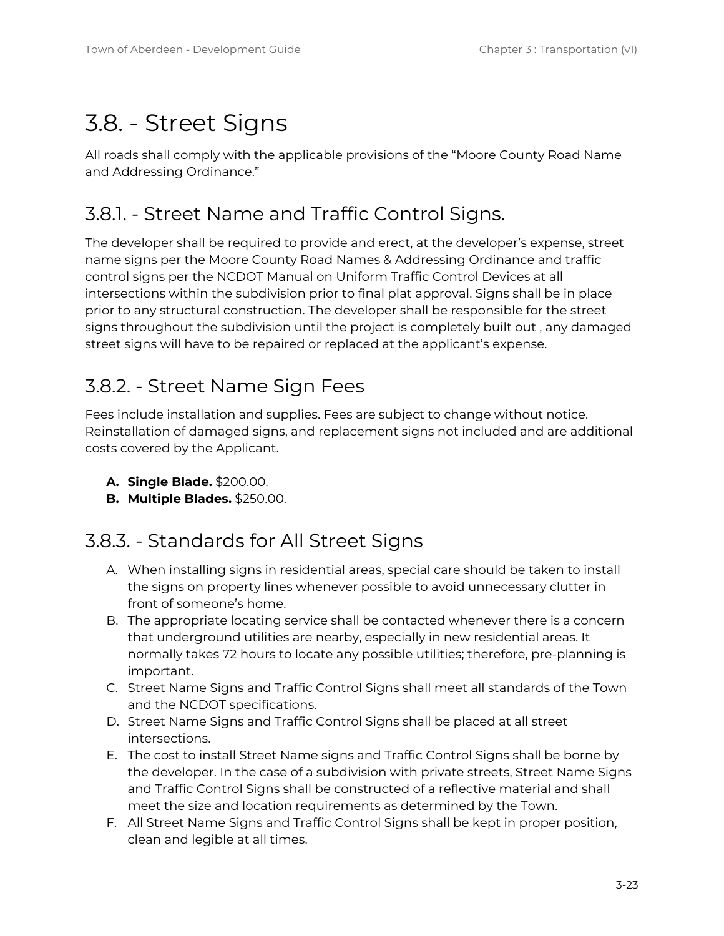# <span id="page-22-0"></span>3.8. - Street Signs

All roads shall comply with the applicable provisions of the "Moore County Road Name and Addressing Ordinance."

## <span id="page-22-1"></span>3.8.1. - Street Name and Traffic Control Signs.

The developer shall be required to provide and erect, at the developer's expense, street name signs per the Moore County Road Names & Addressing Ordinance and traffic control signs per the NCDOT Manual on Uniform Traffic Control Devices at all intersections within the subdivision prior to final plat approval. Signs shall be in place prior to any structural construction. The developer shall be responsible for the street signs throughout the subdivision until the project is completely built out , any damaged street signs will have to be repaired or replaced at the applicant's expense.

## <span id="page-22-2"></span>3.8.2. - Street Name Sign Fees

Fees include installation and supplies. Fees are subject to change without notice. Reinstallation of damaged signs, and replacement signs not included and are additional costs covered by the Applicant.

- **A. Single Blade.** \$200.00.
- **B. Multiple Blades.** \$250.00.

### <span id="page-22-3"></span>3.8.3. - Standards for All Street Signs

- A. When installing signs in residential areas, special care should be taken to install the signs on property lines whenever possible to avoid unnecessary clutter in front of someone's home.
- B. The appropriate locating service shall be contacted whenever there is a concern that underground utilities are nearby, especially in new residential areas. It normally takes 72 hours to locate any possible utilities; therefore, pre-planning is important.
- C. Street Name Signs and Traffic Control Signs shall meet all standards of the Town and the NCDOT specifications.
- D. Street Name Signs and Traffic Control Signs shall be placed at all street intersections.
- E. The cost to install Street Name signs and Traffic Control Signs shall be borne by the developer. In the case of a subdivision with private streets, Street Name Signs and Traffic Control Signs shall be constructed of a reflective material and shall meet the size and location requirements as determined by the Town.
- F. All Street Name Signs and Traffic Control Signs shall be kept in proper position, clean and legible at all times.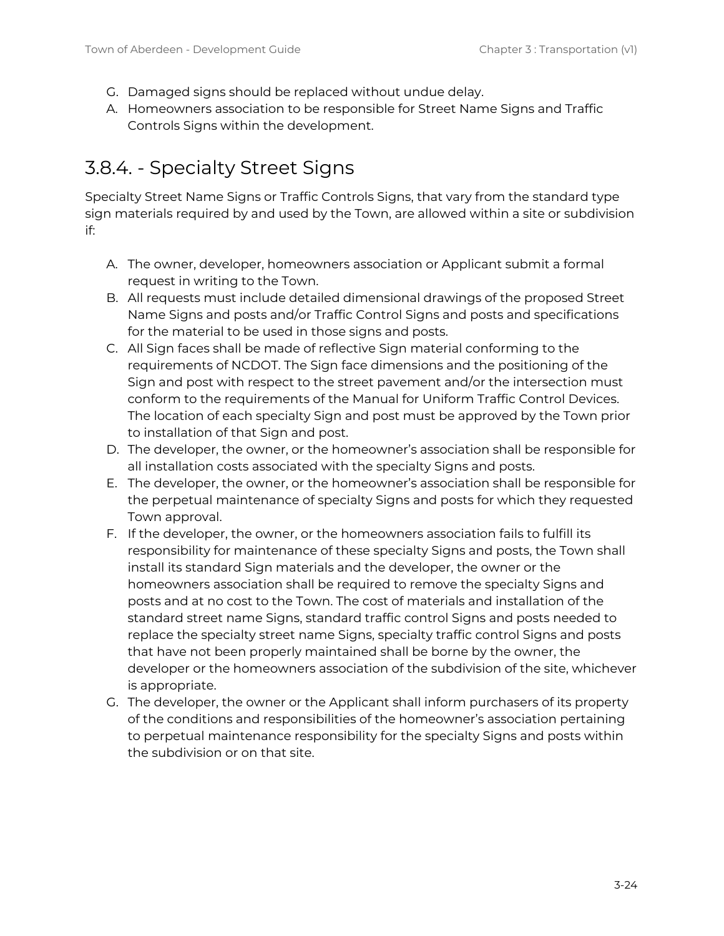- G. Damaged signs should be replaced without undue delay.
- A. Homeowners association to be responsible for Street Name Signs and Traffic Controls Signs within the development.

# <span id="page-23-0"></span>3.8.4. - Specialty Street Signs

Specialty Street Name Signs or Traffic Controls Signs, that vary from the standard type sign materials required by and used by the Town, are allowed within a site or subdivision if:

- A. The owner, developer, homeowners association or Applicant submit a formal request in writing to the Town.
- B. All requests must include detailed dimensional drawings of the proposed Street Name Signs and posts and/or Traffic Control Signs and posts and specifications for the material to be used in those signs and posts.
- C. All Sign faces shall be made of reflective Sign material conforming to the requirements of NCDOT. The Sign face dimensions and the positioning of the Sign and post with respect to the street pavement and/or the intersection must conform to the requirements of the Manual for Uniform Traffic Control Devices. The location of each specialty Sign and post must be approved by the Town prior to installation of that Sign and post.
- D. The developer, the owner, or the homeowner's association shall be responsible for all installation costs associated with the specialty Signs and posts.
- E. The developer, the owner, or the homeowner's association shall be responsible for the perpetual maintenance of specialty Signs and posts for which they requested Town approval.
- F. If the developer, the owner, or the homeowners association fails to fulfill its responsibility for maintenance of these specialty Signs and posts, the Town shall install its standard Sign materials and the developer, the owner or the homeowners association shall be required to remove the specialty Signs and posts and at no cost to the Town. The cost of materials and installation of the standard street name Signs, standard traffic control Signs and posts needed to replace the specialty street name Signs, specialty traffic control Signs and posts that have not been properly maintained shall be borne by the owner, the developer or the homeowners association of the subdivision of the site, whichever is appropriate.
- G. The developer, the owner or the Applicant shall inform purchasers of its property of the conditions and responsibilities of the homeowner's association pertaining to perpetual maintenance responsibility for the specialty Signs and posts within the subdivision or on that site.